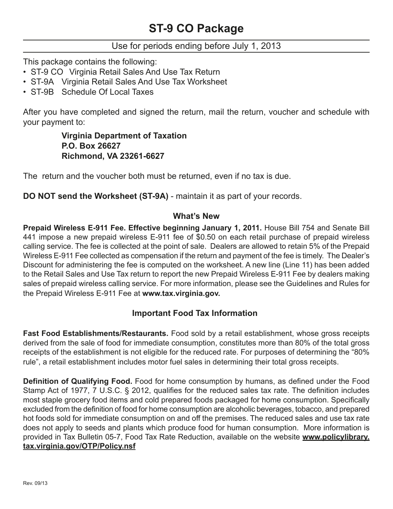### Use for periods ending before July 1, 2013

This package contains the following:

- ST-9 CO Virginia Retail Sales And Use Tax Return
- ST-9A Virginia Retail Sales And Use Tax Worksheet
- ST-9B Schedule Of Local Taxes

After you have completed and signed the return, mail the return, voucher and schedule with your payment to:

> **Virginia Department of Taxation P.O. Box 26627 Richmond, VA 23261-6627**

The return and the voucher both must be returned, even if no tax is due.

**DO NOT send the Worksheet (ST-9A)** - maintain it as part of your records.

#### **What's New**

**Prepaid Wireless E-911 Fee. Effective beginning January 1, 2011.** House Bill 754 and Senate Bill 441 impose a new prepaid wireless E-911 fee of \$0.50 on each retail purchase of prepaid wireless calling service. The fee is collected at the point of sale. Dealers are allowed to retain 5% of the Prepaid Wireless E-911 Fee collected as compensation if the return and payment of the fee is timely. The Dealer's Discount for administering the fee is computed on the worksheet. A new line (Line 11) has been added to the Retail Sales and Use Tax return to report the new Prepaid Wireless E-911 Fee by dealers making sales of prepaid wireless calling service. For more information, please see the Guidelines and Rules for the Prepaid Wireless E-911 Fee at **www.tax.virginia.gov.**

## **Important Food Tax Information**

**Fast Food Establishments/Restaurants.** Food sold by a retail establishment, whose gross receipts derived from the sale of food for immediate consumption, constitutes more than 80% of the total gross receipts of the establishment is not eligible for the reduced rate. For purposes of determining the "80% rule", a retail establishment includes motor fuel sales in determining their total gross receipts.

**Definition of Qualifying Food.** Food for home consumption by humans, as defined under the Food Stamp Act of 1977, 7 U.S.C. § 2012, qualifies for the reduced sales tax rate. The definition includes most staple grocery food items and cold prepared foods packaged for home consumption. Specifically excluded from the definition of food for home consumption are alcoholic beverages, tobacco, and prepared hot foods sold for immediate consumption on and off the premises. The reduced sales and use tax rate does not apply to seeds and plants which produce food for human consumption. More information is provided in Tax Bulletin 05-7, Food Tax Rate Reduction, available on the website **www.policylibrary. tax.virginia.gov/OTP/Policy.nsf**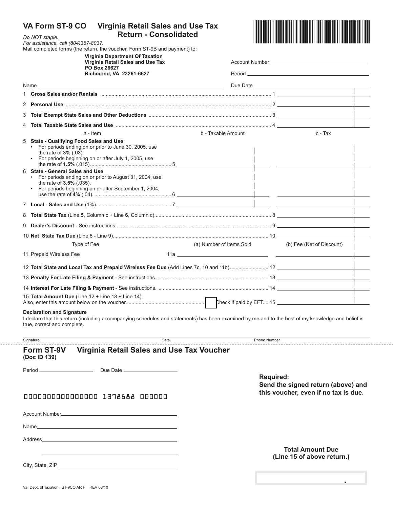| VA Form ST-9 CO<br><b>Virginia Retail Sales and Use Tax</b><br><b>Return - Consolidated</b><br>Do NOT staple.<br>For assistance, call (804)367-8037.<br>Mail completed forms (the return, the voucher, Form ST-9B and payment) to:<br><b>Virginia Department Of Taxation</b><br>Virginia Retail Sales and Use Tax<br>PO Box 26627<br>Richmond, VA 23261-6627 |                                                                                                                                                    |                    |                                                                                                |                                                       |  |  |  |
|--------------------------------------------------------------------------------------------------------------------------------------------------------------------------------------------------------------------------------------------------------------------------------------------------------------------------------------------------------------|----------------------------------------------------------------------------------------------------------------------------------------------------|--------------------|------------------------------------------------------------------------------------------------|-------------------------------------------------------|--|--|--|
|                                                                                                                                                                                                                                                                                                                                                              |                                                                                                                                                    |                    |                                                                                                |                                                       |  |  |  |
|                                                                                                                                                                                                                                                                                                                                                              |                                                                                                                                                    |                    |                                                                                                |                                                       |  |  |  |
|                                                                                                                                                                                                                                                                                                                                                              | Name $\overline{\phantom{a}}$                                                                                                                      |                    |                                                                                                |                                                       |  |  |  |
|                                                                                                                                                                                                                                                                                                                                                              |                                                                                                                                                    |                    |                                                                                                |                                                       |  |  |  |
|                                                                                                                                                                                                                                                                                                                                                              |                                                                                                                                                    |                    |                                                                                                |                                                       |  |  |  |
|                                                                                                                                                                                                                                                                                                                                                              |                                                                                                                                                    |                    |                                                                                                |                                                       |  |  |  |
| 4                                                                                                                                                                                                                                                                                                                                                            |                                                                                                                                                    |                    |                                                                                                |                                                       |  |  |  |
| 5 State - Qualifying Food Sales and Use<br>the rate of $3\%$ (.03).<br>6 State - General Sales and Use                                                                                                                                                                                                                                                       | a - Item<br>• For periods ending on or prior to June 30, 2005, use<br>• For periods beginning on or after July 1, 2005, use                        | b - Taxable Amount |                                                                                                | c - Tax                                               |  |  |  |
| the rate of $3.5\%$ (.035).                                                                                                                                                                                                                                                                                                                                  | • For periods ending on or prior to August 31, 2004, use<br>• For periods beginning on or after September 1, 2004,                                 |                    |                                                                                                |                                                       |  |  |  |
|                                                                                                                                                                                                                                                                                                                                                              |                                                                                                                                                    |                    |                                                                                                |                                                       |  |  |  |
|                                                                                                                                                                                                                                                                                                                                                              |                                                                                                                                                    |                    |                                                                                                |                                                       |  |  |  |
|                                                                                                                                                                                                                                                                                                                                                              |                                                                                                                                                    |                    |                                                                                                |                                                       |  |  |  |
|                                                                                                                                                                                                                                                                                                                                                              |                                                                                                                                                    |                    |                                                                                                |                                                       |  |  |  |
| Type of Fee                                                                                                                                                                                                                                                                                                                                                  |                                                                                                                                                    |                    | (a) Number of Items Sold                                                                       | (b) Fee (Net of Discount)                             |  |  |  |
| 11 Prepaid Wireless Fee                                                                                                                                                                                                                                                                                                                                      |                                                                                                                                                    |                    |                                                                                                |                                                       |  |  |  |
|                                                                                                                                                                                                                                                                                                                                                              |                                                                                                                                                    |                    |                                                                                                |                                                       |  |  |  |
|                                                                                                                                                                                                                                                                                                                                                              |                                                                                                                                                    |                    |                                                                                                |                                                       |  |  |  |
|                                                                                                                                                                                                                                                                                                                                                              |                                                                                                                                                    |                    |                                                                                                |                                                       |  |  |  |
| 15 Total Amount Due (Line $12 +$ Line $13 +$ Line $14$ )                                                                                                                                                                                                                                                                                                     |                                                                                                                                                    |                    |                                                                                                |                                                       |  |  |  |
| <b>Declaration and Signature</b><br>true, correct and complete.                                                                                                                                                                                                                                                                                              | I declare that this return (including accompanying schedules and statements) has been examined by me and to the best of my knowledge and belief is |                    |                                                                                                |                                                       |  |  |  |
| Signature                                                                                                                                                                                                                                                                                                                                                    | Date                                                                                                                                               |                    | <b>Phone Number</b>                                                                            |                                                       |  |  |  |
| Form ST-9V<br>(Doc ID 139)                                                                                                                                                                                                                                                                                                                                   | Virginia Retail Sales and Use Tax Voucher                                                                                                          |                    |                                                                                                |                                                       |  |  |  |
| Period <sub>—</sub>                                                                                                                                                                                                                                                                                                                                          |                                                                                                                                                    |                    |                                                                                                |                                                       |  |  |  |
|                                                                                                                                                                                                                                                                                                                                                              | 0000000000000000 1398888 000000                                                                                                                    |                    | <b>Required:</b><br>Send the signed return (above) and<br>this voucher, even if no tax is due. |                                                       |  |  |  |
|                                                                                                                                                                                                                                                                                                                                                              |                                                                                                                                                    |                    |                                                                                                |                                                       |  |  |  |
| Name <sub>—</sub>                                                                                                                                                                                                                                                                                                                                            | and the control of the control of the control of the control of the control of the control of the control of the                                   |                    |                                                                                                |                                                       |  |  |  |
|                                                                                                                                                                                                                                                                                                                                                              |                                                                                                                                                    |                    |                                                                                                |                                                       |  |  |  |
| Address__                                                                                                                                                                                                                                                                                                                                                    |                                                                                                                                                    |                    |                                                                                                |                                                       |  |  |  |
|                                                                                                                                                                                                                                                                                                                                                              |                                                                                                                                                    |                    |                                                                                                | <b>Total Amount Due</b><br>(Line 15 of above return.) |  |  |  |
|                                                                                                                                                                                                                                                                                                                                                              |                                                                                                                                                    |                    |                                                                                                |                                                       |  |  |  |
|                                                                                                                                                                                                                                                                                                                                                              |                                                                                                                                                    |                    |                                                                                                |                                                       |  |  |  |
| Va. Dept. of Taxation ST-9CO AR F REV 08/10                                                                                                                                                                                                                                                                                                                  |                                                                                                                                                    |                    |                                                                                                |                                                       |  |  |  |

. . . . . . . . .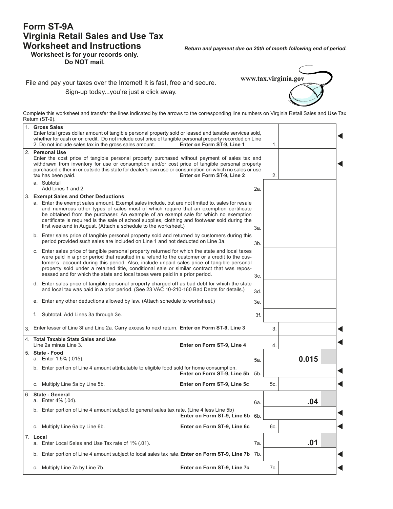#### **Form ST-9A Virginia Retail Sales and Use Tax Worksheet and Instructions**

*Return and payment due on 20th of month following end of period.*

**Worksheet is for your records only. Do NOT mail.**

**www.tax.virginia.gov**

File and pay your taxes over the Internet! It is fast, free and secure. Sign-up today...you're just a click away.

Complete this worksheet and transfer the lines indicated by the arrows to the corresponding line numbers on Virginia Retail Sales and Use Tax Return (ST-9).

| 1. |    | <b>Gross Sales</b><br>Enter total gross dollar amount of tangible personal property sold or leased and taxable services sold,<br>whether for cash or on credit. Do not include cost price of tangible personal property recorded on Line<br>2. Do not include sales tax in the gross sales amount.<br>Enter on Form ST-9, Line 1                                                                                                                                                                |  |     | 1.  |       |  |
|----|----|-------------------------------------------------------------------------------------------------------------------------------------------------------------------------------------------------------------------------------------------------------------------------------------------------------------------------------------------------------------------------------------------------------------------------------------------------------------------------------------------------|--|-----|-----|-------|--|
|    |    | 2. Personal Use<br>Enter the cost price of tangible personal property purchased without payment of sales tax and<br>withdrawn from inventory for use or consumption and/or cost price of tangible personal property<br>purchased either in or outside this state for dealer's own use or consumption on which no sales or use<br>tax has been paid.<br>Enter on Form ST-9, Line 2                                                                                                               |  |     | 2.  |       |  |
|    |    | a. Subtotal<br>Add Lines 1 and 2.                                                                                                                                                                                                                                                                                                                                                                                                                                                               |  | 2a. |     |       |  |
| 3. |    | <b>Exempt Sales and Other Deductions</b><br>a. Enter the exempt sales amount. Exempt sales include, but are not limited to, sales for resale<br>and numerous other types of sales most of which require that an exemption certificate<br>be obtained from the purchaser. An example of an exempt sale for which no exemption<br>certificate is required is the sale of school supplies, clothing and footwear sold during the<br>first weekend in August. (Attach a schedule to the worksheet.) |  | За. |     |       |  |
|    |    | b. Enter sales price of tangible personal property sold and returned by customers during this<br>period provided such sales are included on Line 1 and not deducted on Line 3a.                                                                                                                                                                                                                                                                                                                 |  | 3b. |     |       |  |
|    |    | c. Enter sales price of tangible personal property returned for which the state and local taxes<br>were paid in a prior period that resulted in a refund to the customer or a credit to the cus-<br>tomer's account during this period. Also, include unpaid sales price of tangible personal<br>property sold under a retained title, conditional sale or similar contract that was repos-<br>sessed and for which the state and local taxes were paid in a prior period.                      |  | 3c. |     |       |  |
|    |    | d. Enter sales price of tangible personal property charged off as bad debt for which the state<br>and local tax was paid in a prior period. (See 23 VAC 10-210-160 Bad Debts for details.)                                                                                                                                                                                                                                                                                                      |  | 3d. |     |       |  |
|    |    | e. Enter any other deductions allowed by law. (Attach schedule to worksheet.)                                                                                                                                                                                                                                                                                                                                                                                                                   |  | 3е. |     |       |  |
|    |    | f. Subtotal. Add Lines 3a through 3e.                                                                                                                                                                                                                                                                                                                                                                                                                                                           |  | 3f. |     |       |  |
|    |    | 3. Enter lesser of Line 3f and Line 2a. Carry excess to next return. Enter on Form ST-9, Line 3                                                                                                                                                                                                                                                                                                                                                                                                 |  |     | 3.  |       |  |
|    |    | 4. Total Taxable State Sales and Use<br>Line 2a minus Line 3.<br>Enter on Form ST-9, Line 4                                                                                                                                                                                                                                                                                                                                                                                                     |  |     | 4.  |       |  |
|    |    | 5. State - Food<br>a. Enter 1.5% (.015).                                                                                                                                                                                                                                                                                                                                                                                                                                                        |  | 5а. |     | 0.015 |  |
|    |    | b. Enter portion of Line 4 amount attributable to eligible food sold for home consumption.<br>Enter on Form ST-9, Line 5b                                                                                                                                                                                                                                                                                                                                                                       |  | 5b. |     |       |  |
|    |    | c. Multiply Line 5a by Line 5b.<br>Enter on Form ST-9, Line 5c                                                                                                                                                                                                                                                                                                                                                                                                                                  |  |     | 5c. |       |  |
|    |    | 6. State - General<br>a. Enter 4% (.04).                                                                                                                                                                                                                                                                                                                                                                                                                                                        |  | 6а. |     | .04   |  |
|    |    | b. Enter portion of Line 4 amount subject to general sales tax rate. (Line 4 less Line 5b)<br>Enter on Form ST-9, Line 6b 6b.                                                                                                                                                                                                                                                                                                                                                                   |  |     |     |       |  |
|    |    | Enter on Form ST-9, Line 6c<br>c. Multiply Line 6a by Line 6b.                                                                                                                                                                                                                                                                                                                                                                                                                                  |  |     | 6c. |       |  |
|    | а. | 7. Local<br>Enter Local Sales and Use Tax rate of 1% (.01).                                                                                                                                                                                                                                                                                                                                                                                                                                     |  | 7а. |     | .01   |  |
|    | b. | Enter portion of Line 4 amount subject to local sales tax rate. Enter on Form ST-9, Line 7b 7b.                                                                                                                                                                                                                                                                                                                                                                                                 |  |     |     |       |  |
|    |    | Enter on Form ST-9, Line 7c<br>c. Multiply Line 7a by Line 7b.                                                                                                                                                                                                                                                                                                                                                                                                                                  |  |     | 7c. |       |  |
|    |    |                                                                                                                                                                                                                                                                                                                                                                                                                                                                                                 |  |     |     |       |  |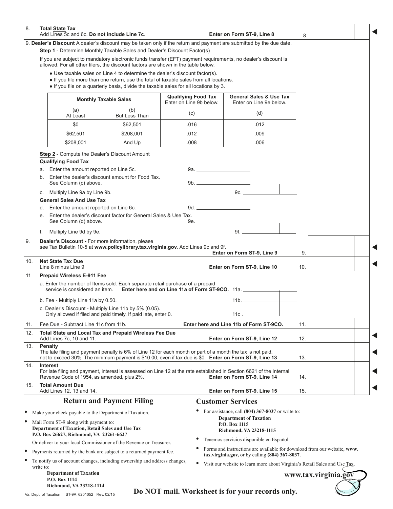| 8.                                                                                        | <b>Total State Tax</b><br>Add Lines 5c and 6c. Do not include Line 7c.                                                                                                    |                                                                 |                                                                                                                                                                       | Enter on Form ST-9, Line 8                                                                                                                          | 8   |                      |  |
|-------------------------------------------------------------------------------------------|---------------------------------------------------------------------------------------------------------------------------------------------------------------------------|-----------------------------------------------------------------|-----------------------------------------------------------------------------------------------------------------------------------------------------------------------|-----------------------------------------------------------------------------------------------------------------------------------------------------|-----|----------------------|--|
|                                                                                           | Step 1 - Determine Monthly Taxable Sales and Dealer's Discount Factor(s)                                                                                                  |                                                                 |                                                                                                                                                                       | 9. Dealer's Discount A dealer's discount may be taken only if the return and payment are submitted by the due date.                                 |     |                      |  |
|                                                                                           | allowed. For all other filers, the discount factors are shown in the table below.                                                                                         |                                                                 |                                                                                                                                                                       | If you are subject to mandatory electronic funds transfer (EFT) payment requirements, no dealer's discount is                                       |     |                      |  |
|                                                                                           |                                                                                                                                                                           |                                                                 | • Use taxable sales on Line 4 to determine the dealer's discount factor(s).<br>• If you file more than one return, use the total of taxable sales from all locations. |                                                                                                                                                     |     |                      |  |
|                                                                                           |                                                                                                                                                                           |                                                                 | . If you file on a quarterly basis, divide the taxable sales for all locations by 3.                                                                                  |                                                                                                                                                     |     |                      |  |
|                                                                                           |                                                                                                                                                                           | <b>Monthly Taxable Sales</b>                                    | <b>Qualifying Food Tax</b><br>Enter on Line 9b below.                                                                                                                 | <b>General Sales &amp; Use Tax</b><br>Enter on Line 9e below.                                                                                       |     |                      |  |
|                                                                                           | (a)<br>At Least                                                                                                                                                           | (b)<br><b>But Less Than</b>                                     | (c)                                                                                                                                                                   | (d)                                                                                                                                                 |     |                      |  |
|                                                                                           | \$0                                                                                                                                                                       | \$62,501                                                        | .016                                                                                                                                                                  | .012                                                                                                                                                |     |                      |  |
|                                                                                           | \$62,501                                                                                                                                                                  | \$208,001                                                       | .012                                                                                                                                                                  | .009                                                                                                                                                |     |                      |  |
|                                                                                           | \$208,001                                                                                                                                                                 | And Up                                                          | .008                                                                                                                                                                  | .006                                                                                                                                                |     |                      |  |
|                                                                                           | Step 2 - Compute the Dealer's Discount Amount                                                                                                                             |                                                                 |                                                                                                                                                                       |                                                                                                                                                     |     |                      |  |
|                                                                                           | <b>Qualifying Food Tax</b><br>a. Enter the amount reported on Line 5c.                                                                                                    |                                                                 |                                                                                                                                                                       |                                                                                                                                                     |     |                      |  |
|                                                                                           | b.                                                                                                                                                                        | Enter the dealer's discount amount for Food Tax.                |                                                                                                                                                                       |                                                                                                                                                     |     |                      |  |
|                                                                                           | See Column (c) above.                                                                                                                                                     |                                                                 |                                                                                                                                                                       |                                                                                                                                                     |     |                      |  |
|                                                                                           | c. Multiply Line 9a by Line 9b.<br><b>General Sales And Use Tax</b>                                                                                                       |                                                                 |                                                                                                                                                                       | 9c.                                                                                                                                                 |     |                      |  |
|                                                                                           | d. Enter the amount reported on Line 6c.                                                                                                                                  |                                                                 |                                                                                                                                                                       |                                                                                                                                                     |     |                      |  |
|                                                                                           | $e_{1}$<br>See Column (d) above.                                                                                                                                          | Enter the dealer's discount factor for General Sales & Use Tax. | 9e.                                                                                                                                                                   |                                                                                                                                                     |     |                      |  |
|                                                                                           | Multiply Line 9d by 9e.<br>f.                                                                                                                                             |                                                                 |                                                                                                                                                                       | 9f.                                                                                                                                                 |     |                      |  |
|                                                                                           | Dealer's Discount - For more information, please<br>see Tax Bulletin 10-5 at www.policylibrary.tax.virginia.gov. Add Lines 9c and 9f.<br>Enter on Form ST-9, Line 9<br>9. |                                                                 |                                                                                                                                                                       |                                                                                                                                                     |     |                      |  |
| 10.                                                                                       | <b>Net State Tax Due</b><br>Line 8 minus Line 9<br>Enter on Form ST-9, Line 10<br>10.                                                                                     |                                                                 |                                                                                                                                                                       |                                                                                                                                                     |     |                      |  |
|                                                                                           | <b>Prepaid Wireless E-911 Fee</b>                                                                                                                                         |                                                                 |                                                                                                                                                                       |                                                                                                                                                     |     |                      |  |
|                                                                                           | a. Enter the number of Items sold. Each separate retail purchase of a prepaid<br>service is considered an item. Enter here and on Line 11a of Form ST-9CO. 11a.           |                                                                 |                                                                                                                                                                       |                                                                                                                                                     |     |                      |  |
|                                                                                           | b. Fee - Multiply Line 11a by 0.50.                                                                                                                                       |                                                                 |                                                                                                                                                                       |                                                                                                                                                     |     |                      |  |
|                                                                                           | c. Dealer's Discount - Multiply Line 11b by 5% (0.05).<br>Only allowed if filed and paid timely. If paid late, enter 0.                                                   |                                                                 |                                                                                                                                                                       | $11c -$                                                                                                                                             |     |                      |  |
| 11.                                                                                       | Fee Due - Subtract Line 11c from 11b.                                                                                                                                     |                                                                 |                                                                                                                                                                       | Enter here and Line 11b of Form ST-9CO.                                                                                                             | 11. |                      |  |
| 12.                                                                                       | Total State and Local Tax and Prepaid Wireless Fee Due<br>Add Lines 7c, 10 and 11.                                                                                        |                                                                 |                                                                                                                                                                       | Enter on Form ST-9, Line 12                                                                                                                         | 12. |                      |  |
| 13.                                                                                       | Penalty<br>The late filing and payment penalty is 6% of Line 12 for each month or part of a month the tax is not paid,                                                    |                                                                 |                                                                                                                                                                       |                                                                                                                                                     |     |                      |  |
|                                                                                           | not to exceed 30%. The minimum payment is \$10.00, even if tax due is \$0. Enter on Form ST-9, Line 13                                                                    |                                                                 |                                                                                                                                                                       |                                                                                                                                                     | 13. |                      |  |
| 14.                                                                                       | <b>Interest</b><br>Revenue Code of 1954, as amended, plus 2%.                                                                                                             |                                                                 |                                                                                                                                                                       | For late filing and payment, interest is assessed on Line 12 at the rate established in Section 6621 of the Internal<br>Enter on Form ST-9, Line 14 | 14. |                      |  |
| 15.                                                                                       | <b>Total Amount Due</b><br>Add Lines 12, 13 and 14.                                                                                                                       |                                                                 |                                                                                                                                                                       | Enter on Form ST-9, Line 15                                                                                                                         | 15. |                      |  |
|                                                                                           |                                                                                                                                                                           | <b>Return and Payment Filing</b>                                |                                                                                                                                                                       | <b>Customer Services</b>                                                                                                                            |     |                      |  |
|                                                                                           | Make your check payable to the Department of Taxation.                                                                                                                    |                                                                 |                                                                                                                                                                       | For assistance, call (804) 367-8037 or write to:                                                                                                    |     |                      |  |
| Mail Form ST-9 along with payment to:<br>Department of Taxation, Retail Sales and Use Tax |                                                                                                                                                                           |                                                                 |                                                                                                                                                                       | <b>Department of Taxation</b><br>P.O. Box 1115<br>Richmond, VA 23218-1115                                                                           |     |                      |  |
|                                                                                           | P.O. Box 26627, Richmond, VA 23261-6627                                                                                                                                   |                                                                 |                                                                                                                                                                       | Tenemos servicios disponible en Español.                                                                                                            |     |                      |  |
|                                                                                           | Or deliver to your local Commissioner of the Revenue or Treasurer.                                                                                                        |                                                                 |                                                                                                                                                                       | Forms and instructions are available for download from our website, www.                                                                            |     |                      |  |
|                                                                                           | Payments returned by the bank are subject to a returned payment fee.                                                                                                      |                                                                 |                                                                                                                                                                       | $\text{tax.virginia.gov}$ , or by calling (804) 367-8037.                                                                                           |     |                      |  |
| write to:                                                                                 | To notify us of account changes, including ownership and address changes,                                                                                                 |                                                                 | $\bullet$                                                                                                                                                             | Visit our website to learn more about Virginia's Retail Sales and Use Tax.                                                                          |     |                      |  |
|                                                                                           | <b>Department of Taxation</b><br>P.O. Box 1114                                                                                                                            |                                                                 |                                                                                                                                                                       |                                                                                                                                                     |     | www.tax.virginia.gov |  |
|                                                                                           | Richmond, VA 23218-1114<br>Va. Dept. of Taxation ST-9A 6201052 Rev. 02/15                                                                                                 |                                                                 |                                                                                                                                                                       | Do NOT mail. Worksheet is for your records only.                                                                                                    |     |                      |  |

Va. Dept. of Taxation ST-9A 6201052 Rev. 02/15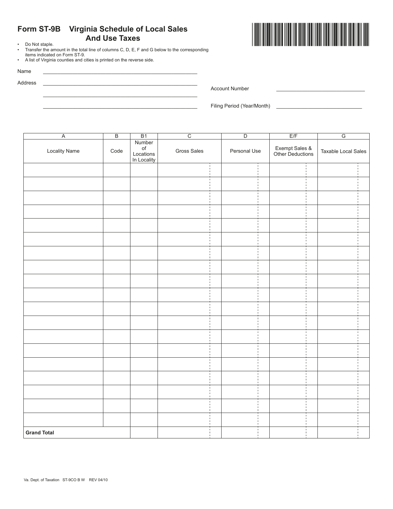# **Form ST-9B Virginia Schedule of Local Sales And Use Taxes**<br>• Do Not staple.<br>• Transfer the amount in the total line of columns C, D, E, E

• Transfer the amount in the total line of columns C, D, E, F and G below to the corresponding items indicated on Form ST-9.

> \_\_\_\_\_\_\_\_\_\_\_\_\_\_\_\_\_\_\_\_\_\_\_\_\_\_\_\_\_\_\_\_\_\_\_\_\_\_\_\_\_\_\_\_\_\_\_\_\_\_\_\_\_\_ \_\_\_\_\_\_\_\_\_\_\_\_\_\_\_\_\_\_\_\_\_\_\_\_\_\_\_\_\_\_\_\_\_\_\_\_\_\_\_\_\_\_\_\_\_\_\_\_\_\_\_\_\_\_

• A list of Virginia counties and cities is printed on the reverse side.

Name \_\_\_\_\_\_\_\_\_\_\_\_\_\_\_\_\_\_\_\_\_\_\_\_\_\_\_\_\_\_\_\_\_\_\_\_\_\_\_\_\_\_\_\_\_\_\_\_\_\_\_\_\_\_

Address \_\_\_\_\_\_\_\_\_\_\_\_\_\_\_\_\_\_\_\_\_\_\_\_\_\_\_\_\_\_\_\_\_\_\_\_\_\_\_\_\_\_\_\_\_\_\_\_\_\_\_\_\_\_

Account Number

Filing Period (Year/Month)

A B B1 C D E/F G **Number** of Gross Sales **Personal Use** Exempt Sales & Locality Name | Code Exempt Sales  $\alpha$  Taxable Local Sales<br>Other Deductions  $\alpha$ Locations In Locality J j

 $\frac{1}{1}$ 

**Grand Total**



Í

Í